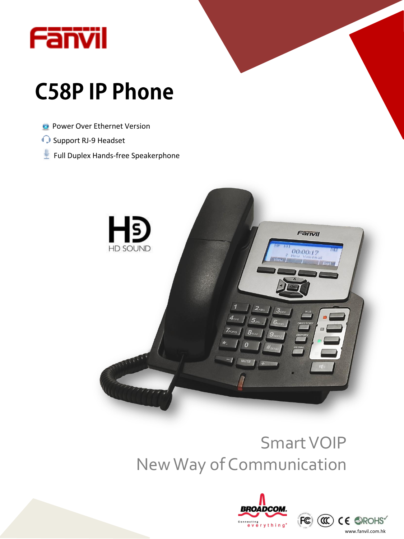

# **C58PIP Phone**

- **C** Power Over Ethernet Version
- Support RJ-9 Headset
- Full Duplex Hands-free Speakerphone



# Smart VOIP New Way of Communication



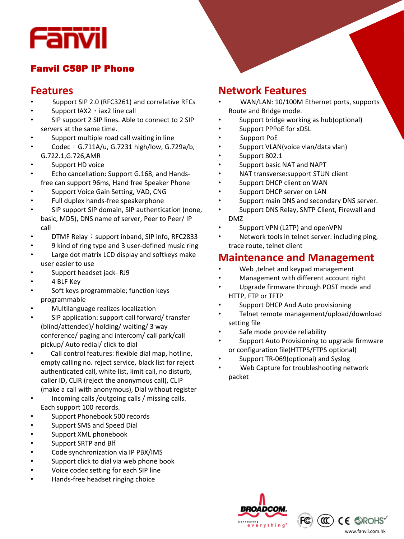

#### Fanvil C58P IP Phone

#### **Features**

- Support SIP 2.0 (RFC3261) and correlative RFCs
- Support IAX2  $\cdot$  iax2 line call
- SIP support 2 SIP lines. Able to connect to 2 SIP servers at the same time.
- Support multiple road call waiting in line
- Codec: G.711A/u, G.7231 high/low, G.729a/b, G.722.1,G.726,AMR
- Support HD voice
- Echo cancellation: Support G.168, and Handsfree can support 96ms, Hand free Speaker Phone
- Support Voice Gain Setting, VAD, CNG
- Full duplex hands-free speakerphone
- SIP support SIP domain, SIP authentication (none, basic, MD5), DNS name of server, Peer to Peer/ IP call
- DTMF Relay: support inband, SIP info, RFC2833
- 9 kind of ring type and 3 user-defined music ring
- Large dot matrix LCD display and softkeys make user easier to use
- Support headset jack-RJ9
- 4 BLF Key
- Soft keys programmable; function keys programmable
- Multilanguage realizes localization
- SIP application: support call forward/ transfer (blind/attended)/ holding/ waiting/ 3 way conference/ paging and intercom/ call park/call pickup/ Auto redial/ click to dial
- Call control features: flexible dial map, hotline, empty calling no. reject service, black list for reject authenticated call, white list, limit call, no disturb, caller ID, CLIR (reject the anonymous call), CLIP (make a call with anonymous), Dial without register
- Incoming calls /outgoing calls / missing calls. Each support 100 records.
- Support Phonebook 500 records
- Support SMS and Speed Dial
- Support XML phonebook
- Support SRTP and Blf
- Code synchronization via IP PBX/IMS
- Support click to dial via web phone book
- Voice codec setting for each SIP line
- Hands-free headset ringing choice

#### **Network Features**

- WAN/LAN: 10/100M Ethernet ports, supports Route and Bridge mode.
- Support bridge working as hub(optional)
- Support PPPoE for xDSL
- Support PoE
- Support VLAN(voice vlan/data vlan)
- Support 802.1
- Support basic NAT and NAPT
- NAT transverse:support STUN client
- Support DHCP client on WAN
- Support DHCP server on LAN
- Support main DNS and secondary DNS server.
- Support DNS Relay, SNTP Client, Firewall and DMZ
- Support VPN (L2TP) and openVPN
- Network tools in telnet server: including ping, trace route, telnet client

#### **Maintenance and Management**

- Web ,telnet and keypad management
- Management with different account right
- Upgrade firmware through POST mode and HTTP, FTP or TFTP
- Support DHCP And Auto provisioning
- Telnet remote management/upload/download setting file
- Safe mode provide reliability
- Support Auto Provisioning to upgrade firmware or configuration file(HTTPS/FTPS optional)
- Support TR-069(optional) and Syslog
- Web Capture for troubleshooting network packet